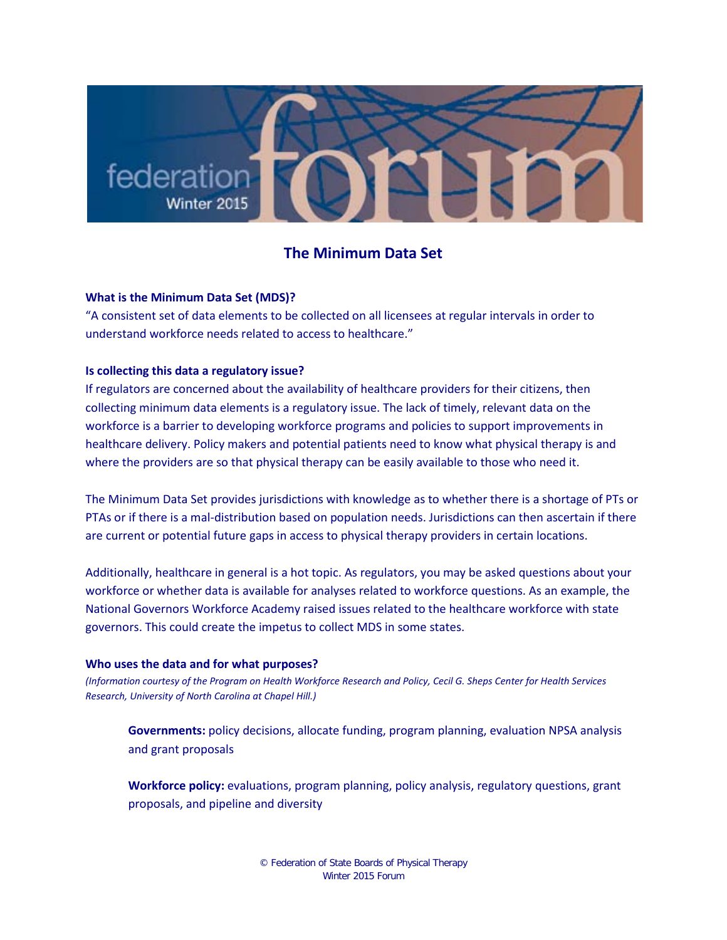

# **The Minimum Data Set**

## **What is the Minimum Data Set (MDS)?**

"A consistent set of data elements to be collected on all licensees at regular intervals in order to understand workforce needs related to access to healthcare."

## **Is collecting this data a regulatory issue?**

If regulators are concerned about the availability of healthcare providers for their citizens, then collecting minimum data elements is a regulatory issue. The lack of timely, relevant data on the workforce is a barrier to developing workforce programs and policies to support improvements in healthcare delivery. Policy makers and potential patients need to know what physical therapy is and where the providers are so that physical therapy can be easily available to those who need it.

The Minimum Data Set provides jurisdictions with knowledge as to whether there is a shortage of PTs or PTAs or if there is a mal-distribution based on population needs. Jurisdictions can then ascertain if there are current or potential future gaps in access to physical therapy providers in certain locations.

Additionally, healthcare in general is a hot topic. As regulators, you may be asked questions about your workforce or whether data is available for analyses related to workforce questions. As an example, the National Governors Workforce Academy raised issues related to the healthcare workforce with state governors. This could create the impetus to collect MDS in some states.

#### **Who uses the data and for what purposes?**

*(Information courtesy of the Program on Health Workforce Research and Policy, Cecil G. Sheps Center for Health Services Research, University of North Carolina at Chapel Hill.)*

**Governments:** policy decisions, allocate funding, program planning, evaluation NPSA analysis and grant proposals

**Workforce policy:** evaluations, program planning, policy analysis, regulatory questions, grant proposals, and pipeline and diversity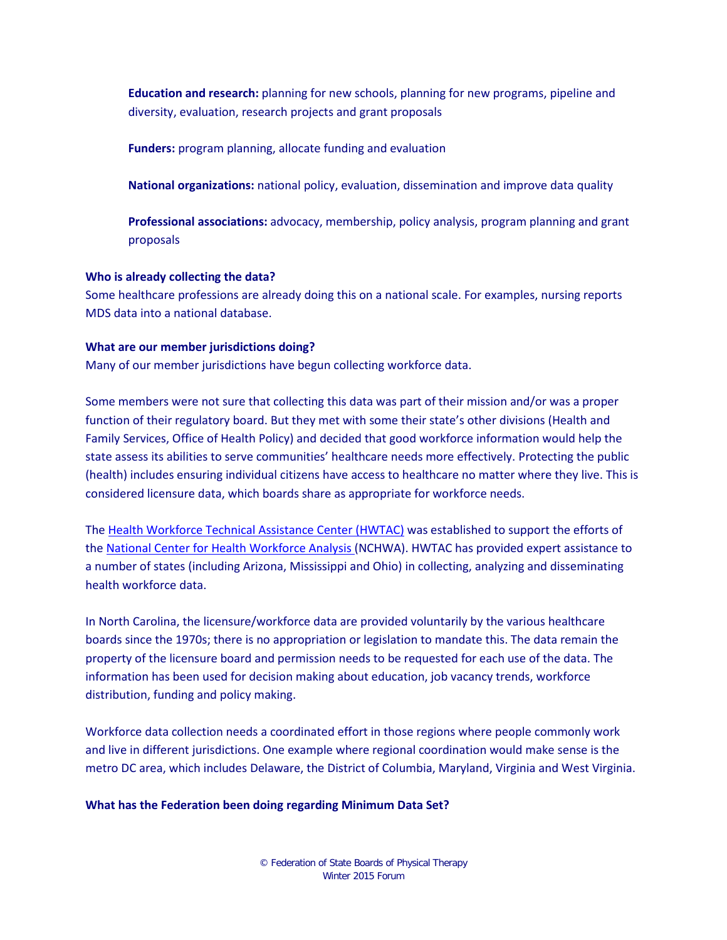**Education and research:** planning for new schools, planning for new programs, pipeline and diversity, evaluation, research projects and grant proposals

**Funders:** program planning, allocate funding and evaluation

**National organizations:** national policy, evaluation, dissemination and improve data quality

**Professional associations:** advocacy, membership, policy analysis, program planning and grant proposals

## **Who is already collecting the data?**

Some healthcare professions are already doing this on a national scale. For examples, nursing reports MDS data into a national database.

## **What are our member jurisdictions doing?**

Many of our member jurisdictions have begun collecting workforce data.

Some members were not sure that collecting this data was part of their mission and/or was a proper function of their regulatory board. But they met with some their state's other divisions (Health and Family Services, Office of Health Policy) and decided that good workforce information would help the state assess its abilities to serve communities' healthcare needs more effectively. Protecting the public (health) includes ensuring individual citizens have access to healthcare no matter where they live. This is considered licensure data, which boards share as appropriate for workforce needs.

The [Health Workforce Technical Assistance Center \(HWTAC\)](http://www.healthworkforceta.org/about/) was established to support the efforts of the [National Center for Health Workforce Analysis \(](http://bhpr.hrsa.gov/healthworkforce/)NCHWA). HWTAC has provided expert assistance to a number of states (including Arizona, Mississippi and Ohio) in collecting, analyzing and disseminating health workforce data.

In North Carolina, the licensure/workforce data are provided voluntarily by the various healthcare boards since the 1970s; there is no appropriation or legislation to mandate this. The data remain the property of the licensure board and permission needs to be requested for each use of the data. The information has been used for decision making about education, job vacancy trends, workforce distribution, funding and policy making.

Workforce data collection needs a coordinated effort in those regions where people commonly work and live in different jurisdictions. One example where regional coordination would make sense is the metro DC area, which includes Delaware, the District of Columbia, Maryland, Virginia and West Virginia.

#### **What has the Federation been doing regarding Minimum Data Set?**